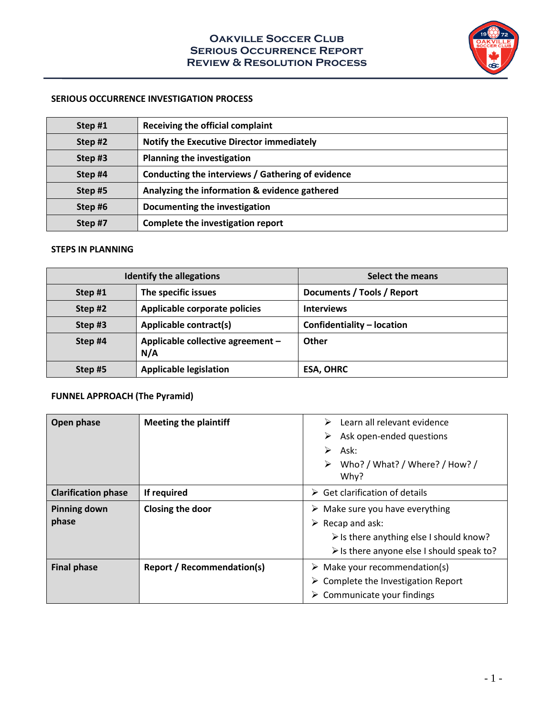

#### **SERIOUS OCCURRENCE INVESTIGATION PROCESS**

| Step #1 | <b>Receiving the official complaint</b>           |
|---------|---------------------------------------------------|
| Step#2  | <b>Notify the Executive Director immediately</b>  |
| Step#3  | <b>Planning the investigation</b>                 |
| Step #4 | Conducting the interviews / Gathering of evidence |
| Step#5  | Analyzing the information & evidence gathered     |
| Step#6  | Documenting the investigation                     |
| Step #7 | Complete the investigation report                 |

### **STEPS IN PLANNING**

| <b>Identify the allegations</b> |                                          | Select the means           |
|---------------------------------|------------------------------------------|----------------------------|
| Step #1                         | The specific issues                      | Documents / Tools / Report |
| Step #2                         | Applicable corporate policies            | <b>Interviews</b>          |
| Step#3                          | <b>Applicable contract(s)</b>            | Confidentiality - location |
| Step #4                         | Applicable collective agreement -<br>N/A | Other                      |
| Step #5                         | <b>Applicable legislation</b>            | <b>ESA, OHRC</b>           |

# **FUNNEL APPROACH (The Pyramid)**

| Open phase                   | <b>Meeting the plaintiff</b>      | Learn all relevant evidence<br>➤<br>Ask open-ended questions<br>➤<br>⋗<br>Ask:<br>Who? / What? / Where? / How? /<br>➤<br>Why?                                                                           |  |  |
|------------------------------|-----------------------------------|---------------------------------------------------------------------------------------------------------------------------------------------------------------------------------------------------------|--|--|
| <b>Clarification phase</b>   | If required                       | $\triangleright$ Get clarification of details                                                                                                                                                           |  |  |
| <b>Pinning down</b><br>phase | Closing the door                  | $\triangleright$ Make sure you have everything<br>$\triangleright$ Recap and ask:<br>$\triangleright$ Is there anything else I should know?<br>$\triangleright$ Is there anyone else I should speak to? |  |  |
| <b>Final phase</b>           | <b>Report / Recommendation(s)</b> | $\triangleright$ Make your recommendation(s)<br>$\triangleright$ Complete the Investigation Report<br>$\triangleright$ Communicate your findings                                                        |  |  |